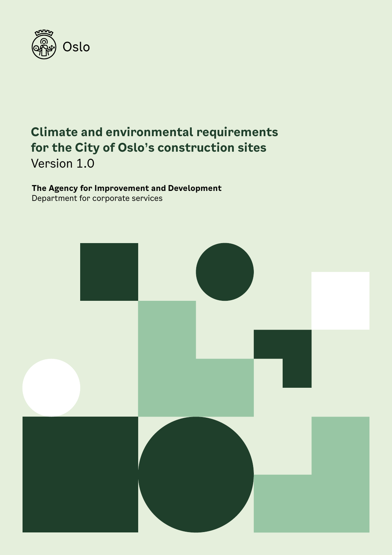

### **Climate and environmental requirements for the City of Oslo's construction sites** Version 1.0

### **The Agency for Improvement and Development** Department for corporate services

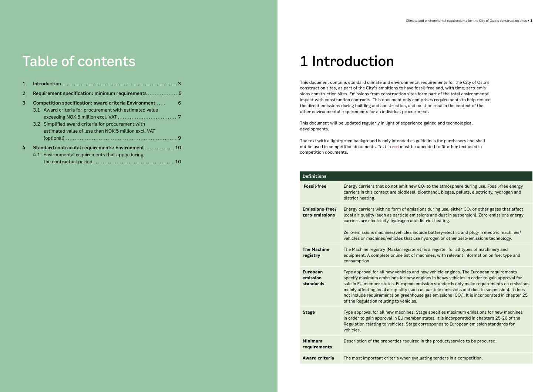## Table of contents

| 2 | Requirement specification: minimum requirements  5                                                                    |
|---|-----------------------------------------------------------------------------------------------------------------------|
| 3 | Competition specification: award criteria Environment<br>6<br>3.1 Award criteria for procurement with estimated value |
|   | 3.2 Simplified award criteria for procurement with<br>estimated value of less than NOK 5 million excl. VAT            |
| 4 | Standard contracutal requirements: Environment  10<br>4.1 Environmental requirements that apply during                |
|   |                                                                                                                       |

# 1 Introduction

This document contains standard climate and environmental requirements for the City of Oslo's construction sites, as part of the City's ambitions to have fossil-free and, with time, zero-emissions construction sites. Emissions from construction sites form part of the total environmental impact with construction contracts. This document only comprises requirements to help reduce the direct emissions during building and construction, and must be read in the context of the other environmental requirements for an individual procurement.

This document will be updated regularly in light of experience gained and technological developments.

The text with a light-green background is only intended as guidelines for purchasers and shall not be used in competition documents. Text in red must be amended to fit other text used in competition documents.

|  | <b>Definitions</b>                       |                                                                                                                                                                                                                                                      |  |
|--|------------------------------------------|------------------------------------------------------------------------------------------------------------------------------------------------------------------------------------------------------------------------------------------------------|--|
|  | <b>Fossil-free</b>                       | Energy carriers that do not emit new<br>carriers in this context are biodiesel,<br>district heating.                                                                                                                                                 |  |
|  | <b>Emissions-free/</b><br>zero-emissions | Energy carriers with no form of emiss<br>local air quality (such as particle emis<br>carriers are electricity, hydrogen and<br>Zero-emissions machines/vehicles inc<br>vehicles or machines/vehicles that us                                         |  |
|  | <b>The Machine</b><br>registry           | The Machine registry (Maskinregister<br>equipment. A complete online list of n<br>consumption.                                                                                                                                                       |  |
|  | <b>European</b><br>emission<br>standards | Type approval for all new vehicles and<br>specify maximum emissions for new e<br>sale in EU member states. European e<br>mainly affecting local air quality (such<br>not include requirements on greenhou<br>of the Regulation relating to vehicles. |  |
|  | <b>Stage</b>                             | Type approval for all new machines. S<br>in order to gain approval in EU membe<br>Regulation relating to vehicles. Stage<br>vehicles.                                                                                                                |  |
|  | <b>Minimum</b><br>requirements           | Description of the properties required                                                                                                                                                                                                               |  |
|  | <b>Award criteria</b>                    | The most important criteria when eva                                                                                                                                                                                                                 |  |

**CO<sub>2</sub>** to the atmosphere during use. Fossil-free energy bioethanol, biogas, pellets, electricity, hydrogen and

 $s$ ions during use, either CO $_2$  or other gases that affect ssions and dust in suspension). Zero-emissions energy district heating.

clude battery-electric and plug-in electric machines/ e hydrogen or other zero-emissions technology.

et) is a register for all types of machinery and machines, with relevant information on fuel type and

d new vehicle engines. The European requirements engines in heavy vehicles in order to gain approval for emission standards only make requirements on emissions h as particle emissions and dust in suspension). It does use gas emissions (CO $_2$ ). It is incorporated in chapter 25  $^{\circ}$ 

**Stage specifies maximum emissions for new machines.** er states. It is incorporated in chapters 25-26 of the corresponds to European emission standards for

d in the product/service to be procured.

**Aluating tenders in a competition.**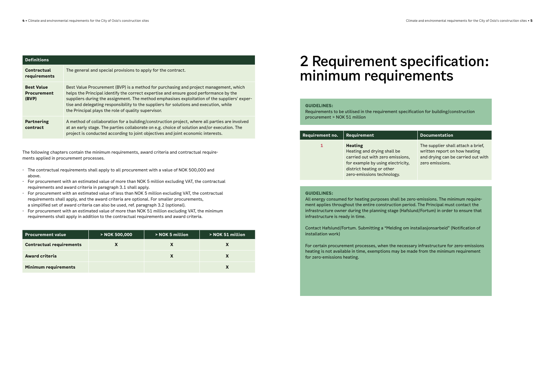<span id="page-2-0"></span>

| <b>Definitions</b>                               |                                                                                                                                                                                                                                                                                                                                                                                                                                 |  |  |
|--------------------------------------------------|---------------------------------------------------------------------------------------------------------------------------------------------------------------------------------------------------------------------------------------------------------------------------------------------------------------------------------------------------------------------------------------------------------------------------------|--|--|
| Contractual<br>requirements                      | The general and special provisions to apply for the contract.                                                                                                                                                                                                                                                                                                                                                                   |  |  |
| <b>Best Value</b><br><b>Procurement</b><br>(BVP) | Best Value Procurement (BVP) is a method for purchasing and project management, which<br>helps the Principal identify the correct expertise and ensure good performance by the<br>suppliers during the assignment. The method emphasises exploitation of the suppliers' exper-<br>tise and delegating responsibility to the suppliers for solutions and execution, while<br>the Principal plays the role of quality supervisor. |  |  |
| Partnering<br>contract                           | A method of collaboration for a building/construction project, where all parties are involved<br>at an early stage. The parties collaborate on e.g. choice of solution and/or execution. The<br>project is conducted according to joint objectives and joint economic interests.                                                                                                                                                |  |  |

The following chapters contain the minimum requirements, award criteria and contractual requirements applied in procurement processes.

- The contractual requirements shall apply to all procurement with a value of NOK 500,000 and above.
- For procurement with an estimated value of more than NOK 5 million excluding VAT, the contractual requirements and award criteria in paragraph 3.1 shall apply.
- For procurement with an estimated value of less than NOK 5 million excluding VAT, the contractual requirements shall apply, and the award criteria are optional. For smaller procurements, a simplified set of award criteria can also be used, ref. paragraph 3.2 (optional).
- For procurement with an estimated value of more than NOK 51 million excluding VAT, the minimum requirements shall apply in addition to the contractual requirements and award criteria.

| <b>Procurement value</b>        | > NOK 500,000 | > NOK 5 million | > NOK 51 million |
|---------------------------------|---------------|-----------------|------------------|
| <b>Contractual requirements</b> |               |                 |                  |
| <b>Award criteria</b>           |               |                 |                  |
| <b>Minimum requirements</b>     |               |                 |                  |

# 2 Requirement specification: minimum requirements

#### **GUIDELINES:**

Requirements to be utilised in the requirement specification for building/construction procurement > NOK 51 million

| Requirement no. | Requirement                                                                                                                                                                       |
|-----------------|-----------------------------------------------------------------------------------------------------------------------------------------------------------------------------------|
| 1               | <b>Heating</b><br>Heating and drying shall be<br>carried out with zero emissions,<br>for example by using electricity,<br>district heating or other<br>zero-emissions technology. |

The supplier shall attach a brief, written report on how heating and drying can be carried out with zero emissions.

#### **GUIDELINES:**

All energy consumed for heating purposes shall be zero-emissions. The minimum requirement applies throughout the entire construction period. The Principal must contact the infrastructure owner during the planning stage (Hafslund/Fortum) in order to ensure that infrastructure is ready in time.

Contact Hafslund/Fortum. Submitting a "Melding om installasjonsarbeid" (Notification of installation work)

For certain procurement processes, when the necessary infrastructure for zero-emissions heating is not available in time, exemptions may be made from the minimum requirement for zero-emissions heating.

### **Requirementation**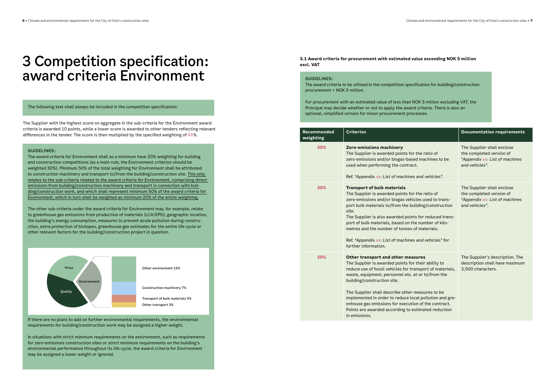## <span id="page-3-0"></span>3 Competition specification: award criteria Environment

The following text shall always be included in the competition specification:

The Supplier with the highest score on aggregate in the sub-criteria for the Environment award criteria is awarded 10 points, while a lower score is awarded to other tenders reflecting relevant differences in the tender. The score is then multiplied by the specified weighting of XX%.

#### **GUIDELINES:**

The award criteria for Environment shall as a minimum have 20% weighting for building and construction competitions (as a main rule, the Environment criterion should be weighted 30%). Minimum 50% of the total weighting for Environment shall be attributed to construction machinery and transport to/from the building/construction site. This only relates to the sub-criteria related to the award criteria for Environment, comprising direct emissions from building/construction machinery and transport in connection with building/construction work, and which shall represent minimum 50% of the award criteria for Environment, which in turn shall be weighted as minimum 20% of the entire weighting.

**Reco weighting** 

The other sub-criteria under the award criteria for Environment may, for example, relate to greenhouse gas emissions from production of materials (LCA/EPD), geographic location, the building's energy consumption, measures to prevent acute pollution during construction, extra protection of biotopes, greenhouse gas estimates for the entire life cycle or other relevant factors for the building/construction project in question.

If there are no plans to add on further environmental requirements, the environmental requirements for building/construction work may be assigned a higher weight.

In situations with strict minimum requirements on the environment, such as requirements for zero-emissions construction sites or strict minimum requirements on the building's environmental performance throughout its life cycle, the award criteria for Environment may be assigned a lower weight or ignored.



**3.1 Award criteria for procurement with estimated value exceeding NOK 5 million excl. VAT** 

#### **GUIDELINES:**

The award criteria to be utilised in the competition specification for building/construction procurement > NOK 5 million.

For procurement with an estimated value of less than NOK 5 million excluding VAT, the Principal may decide whether or not to apply the award criteria. There is also an optional, simplified version for minor procurement processes.

| mmended<br>hting | Criterion                                                                                                                                                                                                                                                                                                                                                                                                                                                                                  | <b>Documentation requirements</b>                                                                          |
|------------------|--------------------------------------------------------------------------------------------------------------------------------------------------------------------------------------------------------------------------------------------------------------------------------------------------------------------------------------------------------------------------------------------------------------------------------------------------------------------------------------------|------------------------------------------------------------------------------------------------------------|
| 50%              | Zero-emissions machinery<br>The Supplier is awarded points for the ratio of<br>zero-emissions and/or biogas-based machines to be<br>used when performing the contract.<br>Ref. "Appendix xx: List of machines and vehicles".                                                                                                                                                                                                                                                               | The Supplier shall enclose<br>the completed version of<br>"Appendix xx: List of machines<br>and vehicles". |
| 30%              | <b>Transport of bulk materials</b><br>The Supplier is awarded points for the ratio of<br>zero-emissions and/or biogas vehicles used to trans-<br>port bulk materials to/from the building/construction<br>site.<br>The Supplier is also awarded points for reduced trans-<br>port of bulk materials, based on the number of kilo-<br>metres and the number of tonnes of materials.<br>Ref. "Appendix xx: List of machines and vehicles" for<br>further information.                        | The Supplier shall enclose<br>the completed version of<br>"Appendix xx: List of machines<br>and vehicles". |
| 20%              | Other transport and other measures<br>The Supplier is awarded points for their ability to<br>reduce use of fossil vehicles for transport of materials,<br>waste, equipment, personnel etc. at or to/from the<br>building/construction site.<br>The Supplier shall describe other measures to be<br>implemented in order to reduce local pollution and gre-<br>enhouse gas emissions for execution of the contract.<br>Points are awarded according to estimated reduction<br>in emissions. | The Supplier's description. The<br>description shall have maximum<br>3,500 characters.                     |
|                  |                                                                                                                                                                                                                                                                                                                                                                                                                                                                                            |                                                                                                            |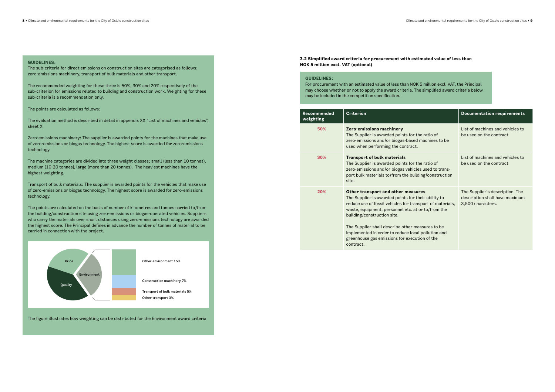<span id="page-4-0"></span>The sub-criteria for direct emissions on construction sites are categorised as follows; zero-emissions machinery, transport of bulk materials and other transport.

The recommended weighting for these three is 50%, 30% and 20% respectively of the sub-criterion for emissions related to building and construction work. Weighting for these sub-criteria is a recommendation only.

The points are calculated as follows:

The evaluation method is described in detail in appendix XX "List of machines and vehicles", sheet X

Zero-emissions machinery: The supplier is awarded points for the machines that make use of zero-emissions or biogas technology. The highest score is awarded for zero-emissions technology.

The machine categories are divided into three weight classes; small (less than 10 tonnes), medium (10-20 tonnes), large (more than 20 tonnes). The heaviest machines have the highest weighting.

Transport of bulk materials: The supplier is awarded points for the vehicles that make use of zero-emissions or biogas technology. The highest score is awarded for zero-emissions technology.

The points are calculated on the basis of number of kilometres and tonnes carried to/from the building/construction site using zero-emissions or biogas-operated vehicles. Suppliers who carry the materials over short distances using zero-emissions technology are awarded the highest score. The Principal defines in advance the number of tonnes of material to be carried in connection with the project.

The figure illustrates how weighting can be distributed for the Environment award criteria

**3.2 Simplified award criteria for procurement with estimated value of less than NOK 5 million excl. VAT (optional)**

#### **GUIDELINES:**

For procurement with an estimated value of less than NOK 5 million excl. VAT, the Principal may choose whether or not to apply the award criteria. The simplified award criteria below may be included in the competition specification.

| <b>Recommended</b><br>weighting | <b>Criterion</b>                                                                                                                                                                                                                                                                                                                                                                                                    | <b>Documentation requirements</b>                                                      |
|---------------------------------|---------------------------------------------------------------------------------------------------------------------------------------------------------------------------------------------------------------------------------------------------------------------------------------------------------------------------------------------------------------------------------------------------------------------|----------------------------------------------------------------------------------------|
| 50%                             | Zero-emissions machinery<br>The Supplier is awarded points for the ratio of<br>zero-emissions and/or biogas-based machines to be<br>used when performing the contract.                                                                                                                                                                                                                                              | List of machines and vehicles to<br>be used on the contract                            |
| 30%                             | <b>Transport of bulk materials</b><br>The Supplier is awarded points for the ratio of<br>zero-emissions and/or biogas vehicles used to trans-<br>port bulk materials to/from the building/construction<br>site.                                                                                                                                                                                                     | List of machines and vehicles to<br>be used on the contract                            |
| 20%                             | Other transport and other measures<br>The Supplier is awarded points for their ability to<br>reduce use of fossil vehicles for transport of materials,<br>waste, equipment, personnel etc. at or to/from the<br>building/construction site.<br>The Supplier shall describe other measures to be<br>implemented in order to reduce local pollution and<br>greenhouse gas emissions for execution of the<br>contract. | The Supplier's description. The<br>description shall have maximum<br>3,500 characters. |

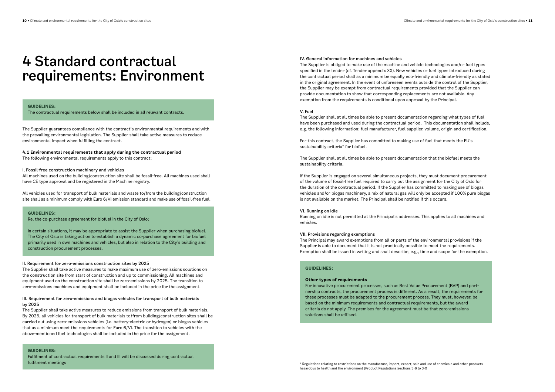## <span id="page-5-0"></span>4 Standard contractual requirements: Environment

#### **GUIDELINES:**

The contractual requirements below shall be included in all relevant contracts.

The Supplier guarantees compliance with the contract's environmental requirements and with the prevailing environmental legislation. The Supplier shall take active measures to reduce environmental impact when fulfilling the contract.

#### **4.1 Environmental requirements that apply during the contractual period**

The following environmental requirements apply to this contract:

#### I. Fossil-free construction machinery and vehicles

All machines used on the building/construction site shall be fossil-free. All machines used shall have CE type approval and be registered in the Machine registry.

All vehicles used for transport of bulk materials and waste to/from the building/construction site shall as a minimum comply with Euro 6/VI emission standard and make use of fossil-free fuel.

#### **GUIDELINES:**

Re. the co-purchase agreement for biofuel in the City of Oslo:

In certain situations, it may be appropriate to assist the Supplier when purchasing biofuel. The City of Oslo is taking action to establish a dynamic co-purchase agreement for biofuel primarily used in own machines and vehicles, but also in relation to the City's building and construction procurement processes.

#### II. Requirement for zero-emissions construction sites by 2025

The Supplier shall take active measures to make maximum use of zero-emissions solutions on the construction site from start of construction and up to commissioning. All machines and equipment used on the construction site shall be zero-emissions by 2025. The transition to zero-emissions machines and equipment shall be included in the price for the assignment.

### III. Requirement for zero-emissions and biogas vehicles for transport of bulk materials by 2025

The Supplier shall take active measures to reduce emissions from transport of bulk materials. By 2025, all vehicles for transport of bulk materials to/from building/construction sites shall be carried out using zero-emissions vehicles (i.e. battery-electric or hydrogen) or biogas vehicles that as a minimum meet the requirements for Euro 6/VI. The transition to vehicles with the above-mentioned fuel technologies shall be included in the price for the assignment.

**GUIDELINES:**

Fulfilment of contractual requirements II and III will be discussed during contractual fulfilment meetings

#### IV. General information for machines and vehicles

The Supplier is obliged to make use of the machine and vehicle technologies and/or fuel types specified in the tender (cf. Tender appendix XX). New vehicles or fuel types introduced during the contractual period shall as a minimum be equally eco-friendly and climate-friendly as stated in the original agreement. In the event of unforeseen events outside the control of the Supplier, the Supplier may be exempt from contractual requirements provided that the Supplier can provide documentation to show that corresponding replacements are not available. Any exemption from the requirements is conditional upon approval by the Principal.

#### V. Fuel

The Supplier shall at all times be able to present documentation regarding what types of fuel have been purchased and used during the contractual period. This documentation shall include, e.g. the following information: fuel manufacturer, fuel supplier, volume, origin and certification.

For this contract, the Supplier has committed to making use of fuel that meets the EU's sustainability criteria\* for biofuel.

The Supplier shall at all times be able to present documentation that the biofuel meets the sustainability criteria.

If the Supplier is engaged on several simultaneous projects, they must document procurement of the volume of fossil-free fuel required to carry out the assignment for the City of Oslo for the duration of the contractual period. If the Supplier has committed to making use of biogas vehicles and/or biogas machinery, a mix of natural gas will only be accepted if 100% pure biogas is not available on the market. The Principal shall be notified if this occurs.

#### VI. Running on idle

Running on idle is not permitted at the Principal's addresses. This applies to all machines and vehicles.

#### VII. Provisions regarding exemptions

The Principal may award exemptions from all or parts of the environmental provisions if the Supplier is able to document that it is not practically possible to meet the requirements. Exemption shall be issued in writing and shall describe, e.g., time and scope for the exemption.

### **GUIDELINES:**

#### **Other types of requirements**

For innovative procurement processes, such as Best Value Procurement (BVP) and partnership contracts, the procurement process is different. As a result, the requirements for these processes must be adapted to the procurement process. They must, however, be based on the minimum requirements and contractual requirements, but the award criteria do not apply. The premises for the agreement must be that zero-emissions solutions shall be utilised.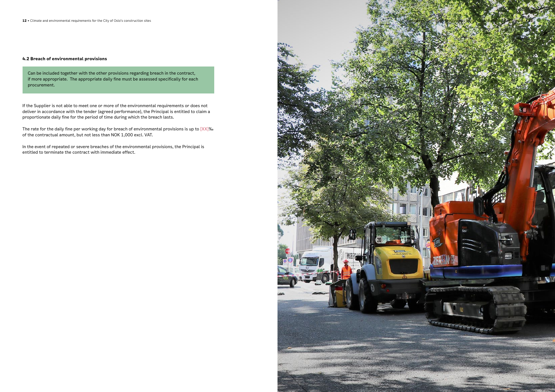#### **4.2 Breach of environmental provisions**

Can be included together with the other provisions regarding breach in the contract, if more appropriate. The appropriate daily fine must be assessed specifically for each procurement.

The rate for the daily fine per working day for breach of environmental provisions is up to [XX]‰ of the contractual amount, but not less than NOK 1,000 excl. VAT.

If the Supplier is not able to meet one or more of the environmental requirements or does not deliver in accordance with the tender (agreed performance), the Principal is entitled to claim a proportionate daily fine for the period of time during which the breach lasts.

In the event of repeated or severe breaches of the environmental provisions, the Principal is entitled to terminate the contract with immediate effect.

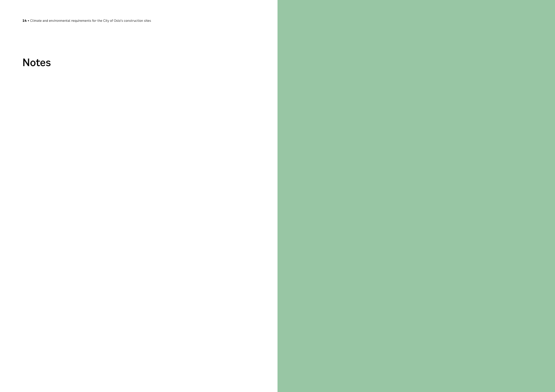## Notes